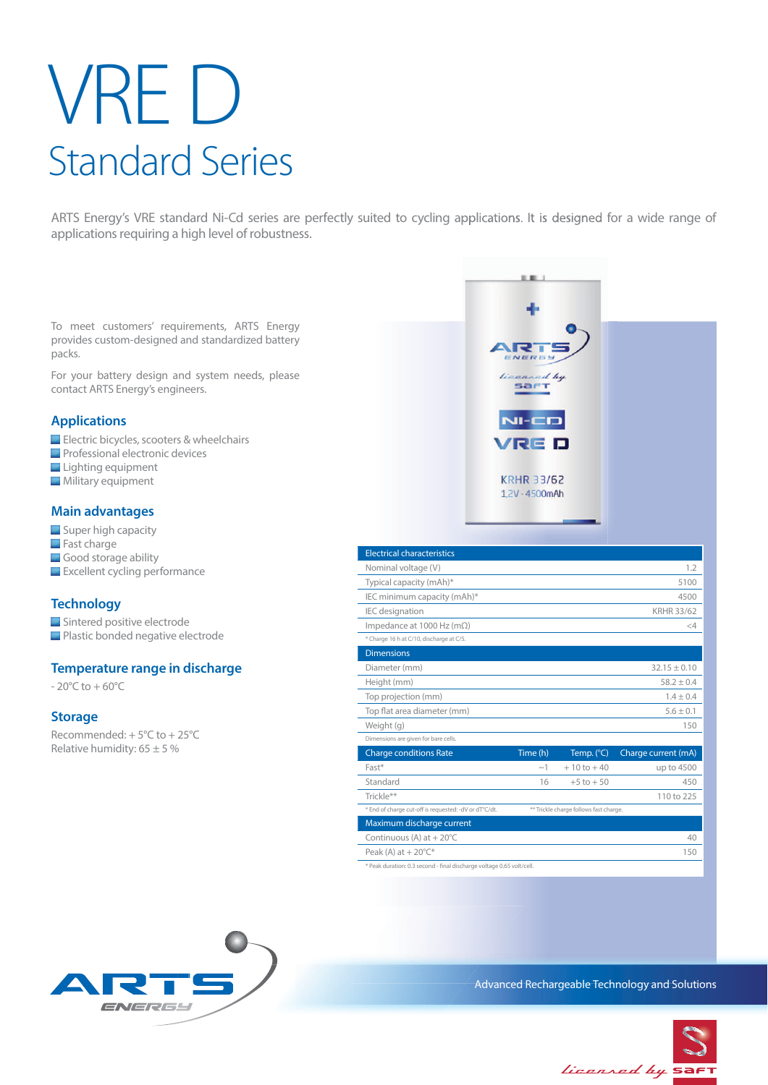# VRE D Standard Series

ARTS Energy's VRE standard Ni-Cd series are perfectly suited to cycling applications. It is designed for a wide range of applications requiring a high level of robustness.

To meet customers' requirements, ARTS Energy provides custom-designed and standardized battery packs.

For your battery design and system needs, please contact ARTS Energy's engineers.

#### **Applications**

- Electric bicycles, scooters & wheelchairs
- **Professional electronic devices**
- Lighting equipment
- **Military equipment**

#### **Main advantages**

- Super high capacity
- **Fast charge**
- Good storage ability
- **Excellent cycling performance**

#### **Technology**

- Sintered positive electrode
- **Plastic bonded negative electrode**

#### **Temperature range in discharge**

 $-20^{\circ}$ C to  $+60^{\circ}$ C

#### **Storage**

Recommended: + 5°C to + 25°C Relative humidity:  $65 \pm 5 \%$ 



o m

 $NER$ 

 $N = CD$ **/RED** 

**KRHR 33/62** 1.2V - 4500mAh

ad by **SaFT** 

\* Peak duration: 0.3 second - final discharge voltage 0.65 volt/cell.